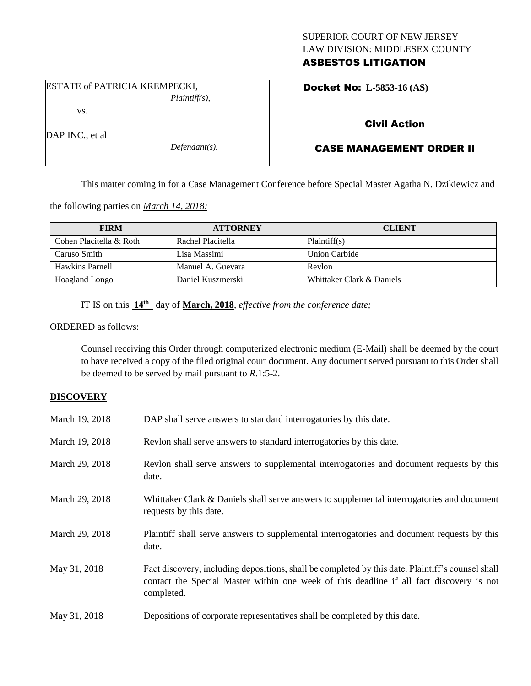## SUPERIOR COURT OF NEW JERSEY LAW DIVISION: MIDDLESEX COUNTY ASBESTOS LITIGATION

Docket No: **L-5853-16 (AS)** 

# vs.

DAP INC., et al

*Defendant(s).*

*Plaintiff(s),*

# Civil Action

# CASE MANAGEMENT ORDER II

This matter coming in for a Case Management Conference before Special Master Agatha N. Dzikiewicz and

the following parties on *March 14, 2018:*

ESTATE of PATRICIA KREMPECKI,

| <b>FIRM</b>             | <b>ATTORNEY</b>   | <b>CLIENT</b>             |
|-------------------------|-------------------|---------------------------|
| Cohen Placitella & Roth | Rachel Placitella | Plaintiff(s)              |
| Caruso Smith            | Lisa Massimi      | Union Carbide             |
| Hawkins Parnell         | Manuel A. Guevara | Revlon                    |
| Hoagland Longo          | Daniel Kuszmerski | Whittaker Clark & Daniels |

IT IS on this **14th** day of **March, 2018**, *effective from the conference date;*

ORDERED as follows:

Counsel receiving this Order through computerized electronic medium (E-Mail) shall be deemed by the court to have received a copy of the filed original court document. Any document served pursuant to this Order shall be deemed to be served by mail pursuant to *R*.1:5-2.

#### **DISCOVERY**

| March 19, 2018 | DAP shall serve answers to standard interrogatories by this date.                                                                                                                                           |
|----------------|-------------------------------------------------------------------------------------------------------------------------------------------------------------------------------------------------------------|
| March 19, 2018 | Revion shall serve answers to standard interrogatories by this date.                                                                                                                                        |
| March 29, 2018 | Revlon shall serve answers to supplemental interrogatories and document requests by this<br>date.                                                                                                           |
| March 29, 2018 | Whittaker Clark & Daniels shall serve answers to supplemental interrogatories and document<br>requests by this date.                                                                                        |
| March 29, 2018 | Plaintiff shall serve answers to supplemental interrogatories and document requests by this<br>date.                                                                                                        |
| May 31, 2018   | Fact discovery, including depositions, shall be completed by this date. Plaintiff's counsel shall<br>contact the Special Master within one week of this deadline if all fact discovery is not<br>completed. |
| May 31, 2018   | Depositions of corporate representatives shall be completed by this date.                                                                                                                                   |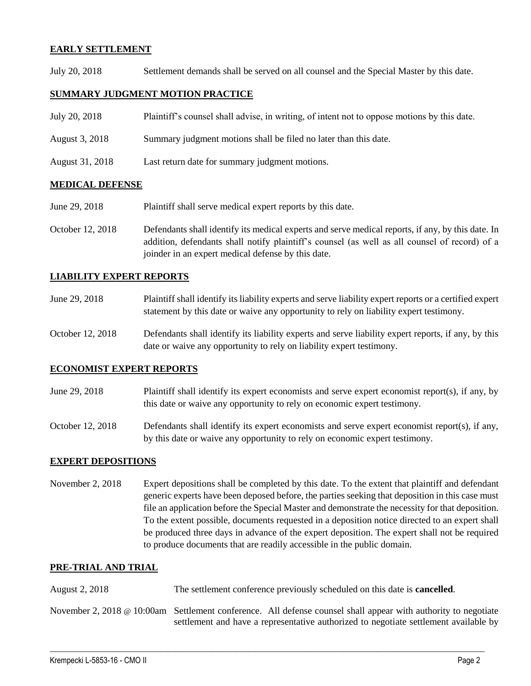#### **EARLY SETTLEMENT**

July 20, 2018 Settlement demands shall be served on all counsel and the Special Master by this date.

#### **SUMMARY JUDGMENT MOTION PRACTICE**

| July 20, 2018   | Plaintiff's counsel shall advise, in writing, of intent not to oppose motions by this date. |
|-----------------|---------------------------------------------------------------------------------------------|
| August 3, 2018  | Summary judgment motions shall be filed no later than this date.                            |
| August 31, 2018 | Last return date for summary judgment motions.                                              |

#### **MEDICAL DEFENSE**

June 29, 2018 Plaintiff shall serve medical expert reports by this date.

October 12, 2018 Defendants shall identify its medical experts and serve medical reports, if any, by this date. In addition, defendants shall notify plaintiff's counsel (as well as all counsel of record) of a joinder in an expert medical defense by this date.

#### **LIABILITY EXPERT REPORTS**

| June 29, 2018 | Plaintiff shall identify its liability experts and serve liability expert reports or a certified expert |
|---------------|---------------------------------------------------------------------------------------------------------|
|               | statement by this date or waive any opportunity to rely on liability expert testimony.                  |

October 12, 2018 Defendants shall identify its liability experts and serve liability expert reports, if any, by this date or waive any opportunity to rely on liability expert testimony.

#### **ECONOMIST EXPERT REPORTS**

- June 29, 2018 Plaintiff shall identify its expert economists and serve expert economist report(s), if any, by this date or waive any opportunity to rely on economic expert testimony.
- October 12, 2018 Defendants shall identify its expert economists and serve expert economist report(s), if any, by this date or waive any opportunity to rely on economic expert testimony.

#### **EXPERT DEPOSITIONS**

November 2, 2018 Expert depositions shall be completed by this date. To the extent that plaintiff and defendant generic experts have been deposed before, the parties seeking that deposition in this case must file an application before the Special Master and demonstrate the necessity for that deposition. To the extent possible, documents requested in a deposition notice directed to an expert shall be produced three days in advance of the expert deposition. The expert shall not be required to produce documents that are readily accessible in the public domain.

### **PRE-TRIAL AND TRIAL**

- August 2, 2018 The settlement conference previously scheduled on this date is **cancelled**.
- November 2, 2018 @ 10:00am Settlement conference. All defense counsel shall appear with authority to negotiate settlement and have a representative authorized to negotiate settlement available by

 $\_$  ,  $\_$  ,  $\_$  ,  $\_$  ,  $\_$  ,  $\_$  ,  $\_$  ,  $\_$  ,  $\_$  ,  $\_$  ,  $\_$  ,  $\_$  ,  $\_$  ,  $\_$  ,  $\_$  ,  $\_$  ,  $\_$  ,  $\_$  ,  $\_$  ,  $\_$  ,  $\_$  ,  $\_$  ,  $\_$  ,  $\_$  ,  $\_$  ,  $\_$  ,  $\_$  ,  $\_$  ,  $\_$  ,  $\_$  ,  $\_$  ,  $\_$  ,  $\_$  ,  $\_$  ,  $\_$  ,  $\_$  ,  $\_$  ,